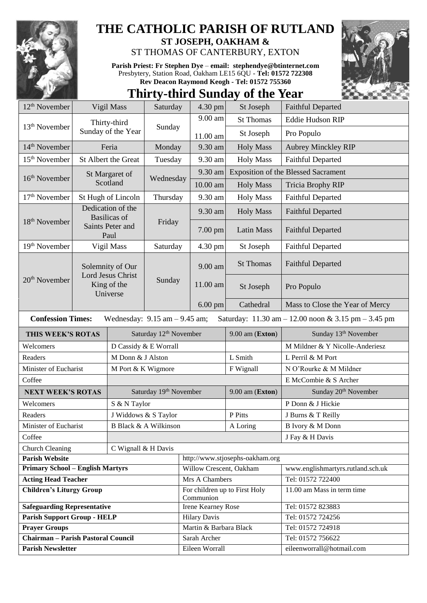

## **THE CATHOLIC PARISH OF RUTLAND**

**ST JOSEPH, OAKHAM &**  ST THOMAS OF CANTERBURY, EXTON

**Parish Priest: Fr Stephen Dye** – **[email: stephendye@btinternet.com](mailto:email:%20%20stephendye@btinternet.com)** Presbytery, Station Road, Oakham LE15 6QU - **Tel: 01572 722308 Rev Deacon Raymond Keogh - Tel: 01572 755360**

## **Thirty-third Sunday of the Year**